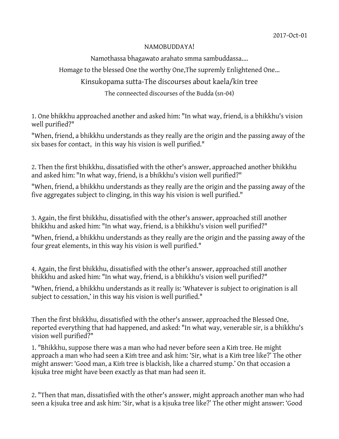## NAMOBUDDAYA!

Namothassa bhagawato arahato smma sambuddassa....

Homage to the blessed One the worthy One,The supremly Enlightened One...

Kinsukopama sutta-The discourses about kaela/kin tree

The conneected discourses of the Budda (sn-04)

1. One bhikkhu approached another and asked him: "In what way, friend, is a bhikkhu's vision well purified?"

"When, friend, a bhikkhu understands as they really are the origin and the passing away of the six bases for contact, in this way his vision is well purified."

2. Then the first bhikkhu, dissatisfied with the other's answer, approached another bhikkhu and asked him: "In what way, friend, is a bhikkhu's vision well purified?"

"When, friend, a bhikkhu understands as they really are the origin and the passing away of the five aggregates subject to clinging, in this way his vision is well purified."

3. Again, the first bhikkhu, dissatisfied with the other's answer, approached still another bhikkhu and asked him: "In what way, friend, is a bhikkhu's vision well purified?"

"When, friend, a bhikkhu understands as they really are the origin and the passing away of the four great elements, in this way his vision is well purified."

4. Again, the first bhikkhu, dissatisfied with the other's answer, approached still another bhikkhu and asked him: "In what way, friend, is a bhikkhu's vision well purified?"

"When, friend, a bhikkhu understands as it really is: 'Whatever is subject to origination is all subject to cessation,' in this way his vision is well purified."

Then the first bhikkhu, dissatisfied with the other's answer, approached the Blessed One, reported everything that had happened, and asked: "In what way, venerable sir, is a bhikkhu's vision well purified?"

1. "Bhikkhu, suppose there was a man who had never before seen a Kiṁ tree. He might approach a man who had seen a Kiṁ tree and ask him: 'Sir, what is a Kiṁ tree like?' The other might answer: 'Good man, a Kiṁ tree is blackish, like a charred stump.' On that occasion a kisuka tree might have been exactly as that man had seen it.

2. "Then that man, dissatisfied with the other's answer, might approach another man who had seen a kisuka tree and ask him: 'Sir, what is a kisuka tree like?' The other might answer: 'Good